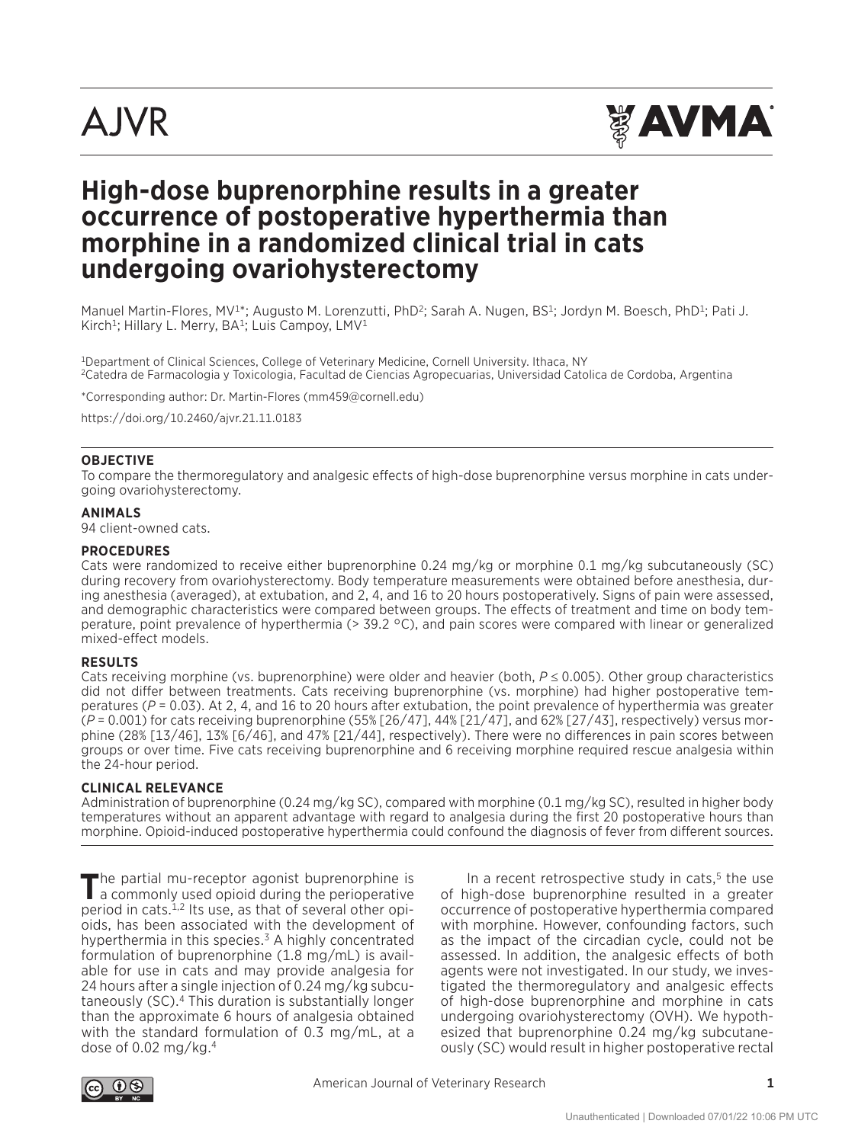

# **High-dose buprenorphine results in a greater occurrence of postoperative hyperthermia than morphine in a randomized clinical trial in cats undergoing ovariohysterectomy**

Manuel Martin-Flores, MV<sup>1\*</sup>; Augusto M. Lorenzutti, PhD<sup>2</sup>; Sarah A. Nugen, BS<sup>1</sup>; Jordyn M. Boesch, PhD<sup>1</sup>; Pati J. Kirch<sup>1</sup>; Hillary L. Merry, BA<sup>1</sup>; Luis Campoy, LMV<sup>1</sup>

1Department of Clinical Sciences, College of Veterinary Medicine, Cornell University. Ithaca, NY 2Catedra de Farmacologia y Toxicologia, Facultad de Ciencias Agropecuarias, Universidad Catolica de Cordoba, Argentina

\*Corresponding author: Dr. Martin-Flores (mm459@cornell.edu)

https://doi.org/10.2460/ajvr.21.11.0183

### **OBJECTIVE**

To compare the thermoregulatory and analgesic effects of high-dose buprenorphine versus morphine in cats undergoing ovariohysterectomy.

#### **ANIMALS**

94 client-owned cats.

#### **PROCEDURES**

Cats were randomized to receive either buprenorphine 0.24 mg/kg or morphine 0.1 mg/kg subcutaneously (SC) during recovery from ovariohysterectomy. Body temperature measurements were obtained before anesthesia, during anesthesia (averaged), at extubation, and 2, 4, and 16 to 20 hours postoperatively. Signs of pain were assessed, and demographic characteristics were compared between groups. The effects of treatment and time on body temperature, point prevalence of hyperthermia (> 39.2 °C), and pain scores were compared with linear or generalized mixed-effect models.

#### **RESULTS**

Cats receiving morphine (vs. buprenorphine) were older and heavier (both, *P* ≤ 0.005). Other group characteristics did not differ between treatments. Cats receiving buprenorphine (vs. morphine) had higher postoperative temperatures (*P* = 0.03). At 2, 4, and 16 to 20 hours after extubation, the point prevalence of hyperthermia was greater (*P* = 0.001) for cats receiving buprenorphine (55% [26/47], 44% [21/47], and 62% [27/43], respectively) versus morphine (28% [13/46], 13% [6/46], and 47% [21/44], respectively). There were no differences in pain scores between groups or over time. Five cats receiving buprenorphine and 6 receiving morphine required rescue analgesia within the 24-hour period.

### **CLINICAL RELEVANCE**

Administration of buprenorphine (0.24 mg/kg SC), compared with morphine (0.1 mg/kg SC), resulted in higher body temperatures without an apparent advantage with regard to analgesia during the first 20 postoperative hours than morphine. Opioid-induced postoperative hyperthermia could confound the diagnosis of fever from different sources.

The partial mu-receptor agonist buprenorphine is<br>a commonly used opioid during the perioperative period in cats.1,2 Its use, as that of several other opioids, has been associated with the development of hyperthermia in this species.<sup>3</sup> A highly concentrated formulation of buprenorphine (1.8 mg/mL) is available for use in cats and may provide analgesia for 24 hours after a single injection of 0.24 mg/kg subcutaneously (SC).4 This duration is substantially longer than the approximate 6 hours of analgesia obtained with the standard formulation of 0.3 mg/mL, at a dose of  $0.02$  mg/kg.<sup>4</sup>

In a recent retrospective study in cats, $5$  the use of high-dose buprenorphine resulted in a greater occurrence of postoperative hyperthermia compared with morphine. However, confounding factors, such as the impact of the circadian cycle, could not be assessed. In addition, the analgesic effects of both agents were not investigated. In our study, we investigated the thermoregulatory and analgesic effects of high-dose buprenorphine and morphine in cats undergoing ovariohysterectomy (OVH). We hypothesized that buprenorphine 0.24 mg/kg subcutaneously (SC) would result in higher postoperative rectal

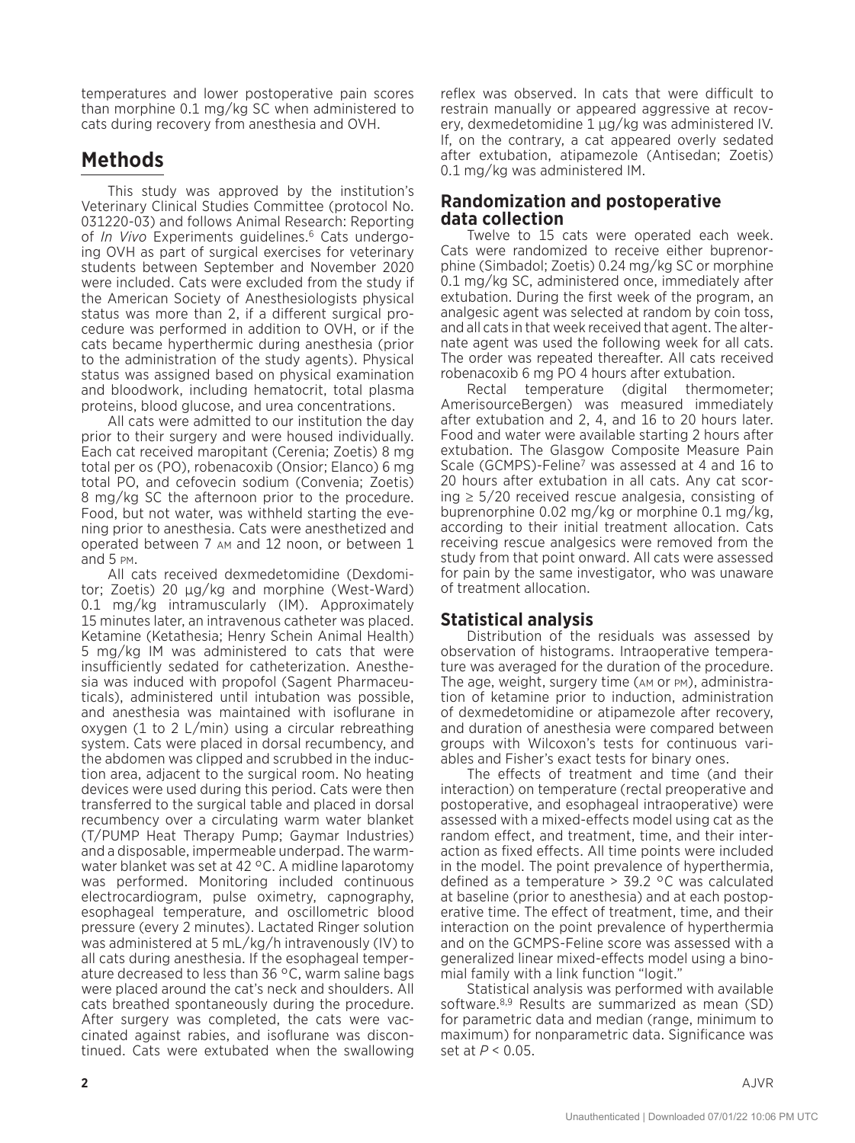temperatures and lower postoperative pain scores than morphine 0.1 mg/kg SC when administered to cats during recovery from anesthesia and OVH.

# **Methods**

This study was approved by the institution's Veterinary Clinical Studies Committee (protocol No. 031220-03) and follows Animal Research: Reporting of *In Vivo* Experiments guidelines.<sup>6</sup> Cats undergoing OVH as part of surgical exercises for veterinary students between September and November 2020 were included. Cats were excluded from the study if the American Society of Anesthesiologists physical status was more than 2, if a different surgical procedure was performed in addition to OVH, or if the cats became hyperthermic during anesthesia (prior to the administration of the study agents). Physical status was assigned based on physical examination and bloodwork, including hematocrit, total plasma proteins, blood glucose, and urea concentrations.

All cats were admitted to our institution the day prior to their surgery and were housed individually. Each cat received maropitant (Cerenia; Zoetis) 8 mg total per os (PO), robenacoxib (Onsior; Elanco) 6 mg total PO, and cefovecin sodium (Convenia; Zoetis) 8 mg/kg SC the afternoon prior to the procedure. Food, but not water, was withheld starting the evening prior to anesthesia. Cats were anesthetized and operated between 7 am and 12 noon, or between 1 and 5 pm.

All cats received dexmedetomidine (Dexdomitor; Zoetis) 20 μg/kg and morphine (West-Ward) 0.1 mg/kg intramuscularly (IM). Approximately 15 minutes later, an intravenous catheter was placed. Ketamine (Ketathesia; Henry Schein Animal Health) 5 mg/kg IM was administered to cats that were insufficiently sedated for catheterization. Anesthesia was induced with propofol (Sagent Pharmaceuticals), administered until intubation was possible, and anesthesia was maintained with isoflurane in oxygen (1 to 2 L/min) using a circular rebreathing system. Cats were placed in dorsal recumbency, and the abdomen was clipped and scrubbed in the induction area, adjacent to the surgical room. No heating devices were used during this period. Cats were then transferred to the surgical table and placed in dorsal recumbency over a circulating warm water blanket (T/PUMP Heat Therapy Pump; Gaymar Industries) and a disposable, impermeable underpad. The warmwater blanket was set at 42 °C. A midline laparotomy was performed. Monitoring included continuous electrocardiogram, pulse oximetry, capnography, esophageal temperature, and oscillometric blood pressure (every 2 minutes). Lactated Ringer solution was administered at 5 mL/kg/h intravenously (IV) to all cats during anesthesia. If the esophageal temperature decreased to less than 36 °C, warm saline bags were placed around the cat's neck and shoulders. All cats breathed spontaneously during the procedure. After surgery was completed, the cats were vaccinated against rabies, and isoflurane was discontinued. Cats were extubated when the swallowing

reflex was observed. In cats that were difficult to restrain manually or appeared aggressive at recovery, dexmedetomidine 1 μg/kg was administered IV. If, on the contrary, a cat appeared overly sedated after extubation, atipamezole (Antisedan; Zoetis) 0.1 mg/kg was administered IM.

### **Randomization and postoperative data collection**

Twelve to 15 cats were operated each week. Cats were randomized to receive either buprenorphine (Simbadol; Zoetis) 0.24 mg/kg SC or morphine 0.1 mg/kg SC, administered once, immediately after extubation. During the first week of the program, an analgesic agent was selected at random by coin toss, and all cats in that week received that agent. The alternate agent was used the following week for all cats. The order was repeated thereafter. All cats received robenacoxib 6 mg PO 4 hours after extubation.

Rectal temperature (digital thermometer; AmerisourceBergen) was measured immediately after extubation and 2, 4, and 16 to 20 hours later. Food and water were available starting 2 hours after extubation. The Glasgow Composite Measure Pain Scale (GCMPS)-Feline<sup>7</sup> was assessed at 4 and 16 to 20 hours after extubation in all cats. Any cat scoring  $\geq$  5/20 received rescue analgesia, consisting of buprenorphine 0.02 mg/kg or morphine 0.1 mg/kg, according to their initial treatment allocation. Cats receiving rescue analgesics were removed from the study from that point onward. All cats were assessed for pain by the same investigator, who was unaware of treatment allocation.

### **Statistical analysis**

Distribution of the residuals was assessed by observation of histograms. Intraoperative temperature was averaged for the duration of the procedure. The age, weight, surgery time (am or pm), administration of ketamine prior to induction, administration of dexmedetomidine or atipamezole after recovery, and duration of anesthesia were compared between groups with Wilcoxon's tests for continuous variables and Fisher's exact tests for binary ones.

The effects of treatment and time (and their interaction) on temperature (rectal preoperative and postoperative, and esophageal intraoperative) were assessed with a mixed-effects model using cat as the random effect, and treatment, time, and their interaction as fixed effects. All time points were included in the model. The point prevalence of hyperthermia, defined as a temperature > 39.2 °C was calculated at baseline (prior to anesthesia) and at each postoperative time. The effect of treatment, time, and their interaction on the point prevalence of hyperthermia and on the GCMPS-Feline score was assessed with a generalized linear mixed-effects model using a binomial family with a link function "logit."

Statistical analysis was performed with available software.<sup>8,9</sup> Results are summarized as mean (SD) for parametric data and median (range, minimum to maximum) for nonparametric data. Significance was set at *P* < 0.05.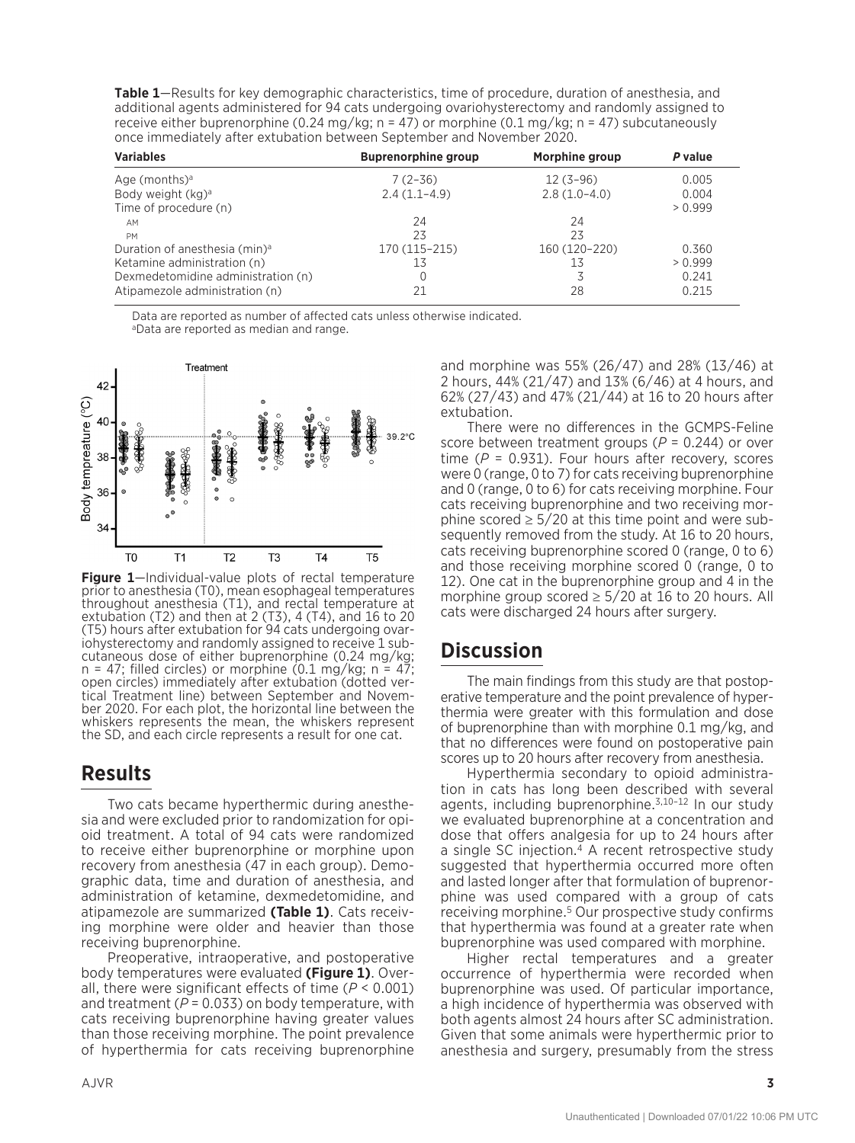**Table 1**—Results for key demographic characteristics, time of procedure, duration of anesthesia, and additional agents administered for 94 cats undergoing ovariohysterectomy and randomly assigned to receive either buprenorphine (0.24 mg/kg; n = 47) or morphine (0.1 mg/kg; n = 47) subcutaneously once immediately after extubation between September and November 2020.

| <b>Variables</b>                          | <b>Buprenorphine group</b> | Morphine group | P value |
|-------------------------------------------|----------------------------|----------------|---------|
| Age (months) $a$                          | $7(2-36)$                  | $12(3-96)$     | 0.005   |
| Body weight (kg) <sup>a</sup>             | $2.4(1.1-4.9)$             | $2.8(1.0-4.0)$ | 0.004   |
| Time of procedure (n)                     |                            |                | > 0.999 |
| AM                                        | 24                         | 24             |         |
| PM                                        | 23                         | 23             |         |
| Duration of anesthesia (min) <sup>a</sup> | 170 (115-215)              | 160 (120-220)  | 0.360   |
| Ketamine administration (n)               | 13                         | 13             | > 0.999 |
| Dexmedetomidine administration (n)        |                            |                | 0.241   |
| Atipamezole administration (n)            | 21                         | 28             | 0.215   |

Data are reported as number of affected cats unless otherwise indicated. aData are reported as median and range.



**Figure 1**—Individual-value plots of rectal temperature prior to anesthesia (T0), mean esophageal temperatures throughout anesthesia (T1), and rectal temperature at extubation (T2) and then at 2 (T3), 4 (T4), and 16 to 20 (T5) hours after extubation for 94 cats undergoing ovar- iohysterectomy and randomly assigned to receive 1 sub- cutaneous dose of either buprenorphine (0.24 mg/kg; cutaneous dose of either buprenorphine  $(0.24 \text{ mg/kg})$ ; n = 47; filled circles) or morphine  $(0.1 \text{ mg/kg})$ ; n = 47; open circles) immediately after extubation (dotted vertical Treatment line) between September and Novem-<br>ber 2020. For each plot, the horizontal line between the whiskers represents the mean, the whiskers represent the SD, and each circle represents a result for one cat.

## **Results**

Two cats became hyperthermic during anesthesia and were excluded prior to randomization for opioid treatment. A total of 94 cats were randomized to receive either buprenorphine or morphine upon recovery from anesthesia (47 in each group). Demographic data, time and duration of anesthesia, and administration of ketamine, dexmedetomidine, and atipamezole are summarized **(Table 1)**. Cats receiving morphine were older and heavier than those receiving buprenorphine.

Preoperative, intraoperative, and postoperative body temperatures were evaluated **(Figure 1)**. Overall, there were significant effects of time (*P* < 0.001) and treatment  $(P = 0.033)$  on body temperature, with cats receiving buprenorphine having greater values than those receiving morphine. The point prevalence of hyperthermia for cats receiving buprenorphine and morphine was 55% (26/47) and 28% (13/46) at 2 hours, 44% (21/47) and 13% (6/46) at 4 hours, and 62% (27/43) and 47% (21/44) at 16 to 20 hours after extubation.

There were no differences in the GCMPS-Feline score between treatment groups (*P* = 0.244) or over time  $(P = 0.931)$ . Four hours after recovery, scores were 0 (range, 0 to 7) for cats receiving buprenorphine and 0 (range, 0 to 6) for cats receiving morphine. Four cats receiving buprenorphine and two receiving morphine scored  $\geq 5/20$  at this time point and were subsequently removed from the study. At 16 to 20 hours, cats receiving buprenorphine scored 0 (range, 0 to 6) and those receiving morphine scored 0 (range, 0 to 12). One cat in the buprenorphine group and 4 in the morphine group scored  $\geq 5/20$  at 16 to 20 hours. All cats were discharged 24 hours after surgery.

## **Discussion**

The main findings from this study are that postoperative temperature and the point prevalence of hyperthermia were greater with this formulation and dose of buprenorphine than with morphine 0.1 mg/kg, and that no differences were found on postoperative pain scores up to 20 hours after recovery from anesthesia.

Hyperthermia secondary to opioid administration in cats has long been described with several agents, including buprenorphine.<sup>3,10-12</sup> In our study we evaluated buprenorphine at a concentration and dose that offers analgesia for up to 24 hours after a single SC injection.4 A recent retrospective study suggested that hyperthermia occurred more often and lasted longer after that formulation of buprenorphine was used compared with a group of cats receiving morphine.5 Our prospective study confirms that hyperthermia was found at a greater rate when buprenorphine was used compared with morphine.

Higher rectal temperatures and a greater occurrence of hyperthermia were recorded when buprenorphine was used. Of particular importance, a high incidence of hyperthermia was observed with both agents almost 24 hours after SC administration. Given that some animals were hyperthermic prior to anesthesia and surgery, presumably from the stress